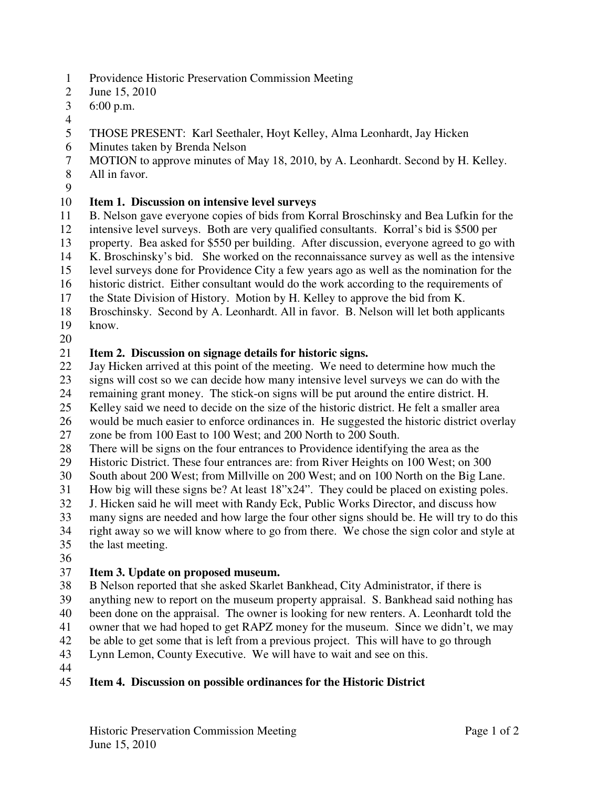- 1 Providence Historic Preservation Commission Meeting
- 2 June 15, 2010
- 3 6:00 p.m.
- 4
- 5 THOSE PRESENT: Karl Seethaler, Hoyt Kelley, Alma Leonhardt, Jay Hicken
- 6 Minutes taken by Brenda Nelson
- 7 MOTION to approve minutes of May 18, 2010, by A. Leonhardt. Second by H. Kelley.
- 8 All in favor.
- 9

# 10 **Item 1. Discussion on intensive level surveys**

11 B. Nelson gave everyone copies of bids from Korral Broschinsky and Bea Lufkin for the

12 intensive level surveys. Both are very qualified consultants. Korral's bid is \$500 per

13 property. Bea asked for \$550 per building. After discussion, everyone agreed to go with

14 K. Broschinsky's bid. She worked on the reconnaissance survey as well as the intensive

15 level surveys done for Providence City a few years ago as well as the nomination for the

16 historic district. Either consultant would do the work according to the requirements of

17 the State Division of History. Motion by H. Kelley to approve the bid from K.

- 18 Broschinsky. Second by A. Leonhardt. All in favor. B. Nelson will let both applicants 19 know.
- 20

# 21 **Item 2. Discussion on signage details for historic signs.**

22 Jay Hicken arrived at this point of the meeting. We need to determine how much the

23 signs will cost so we can decide how many intensive level surveys we can do with the

24 remaining grant money. The stick-on signs will be put around the entire district. H.

25 Kelley said we need to decide on the size of the historic district. He felt a smaller area

26 would be much easier to enforce ordinances in. He suggested the historic district overlay

27 zone be from 100 East to 100 West; and 200 North to 200 South.

28 There will be signs on the four entrances to Providence identifying the area as the

- 29 Historic District. These four entrances are: from River Heights on 100 West; on 300
- 30 South about 200 West; from Millville on 200 West; and on 100 North on the Big Lane.
- 31 How big will these signs be? At least 18"x24". They could be placed on existing poles.<br>32 J. Hicken said he will meet with Randy Eck. Public Works Director, and discuss how
- 32 J. Hicken said he will meet with Randy Eck, Public Works Director, and discuss how
- 33 many signs are needed and how large the four other signs should be. He will try to do this
- 34 right away so we will know where to go from there. We chose the sign color and style at
- 35 the last meeting.
- 36

## 37 **Item 3. Update on proposed museum.**

38 B Nelson reported that she asked Skarlet Bankhead, City Administrator, if there is

39 anything new to report on the museum property appraisal. S. Bankhead said nothing has

40 been done on the appraisal. The owner is looking for new renters. A. Leonhardt told the 41 owner that we had hoped to get RAPZ money for the museum. Since we didn't, we may

42 be able to get some that is left from a previous project. This will have to go through

43 Lynn Lemon, County Executive. We will have to wait and see on this.

44

## 45 **Item 4. Discussion on possible ordinances for the Historic District**